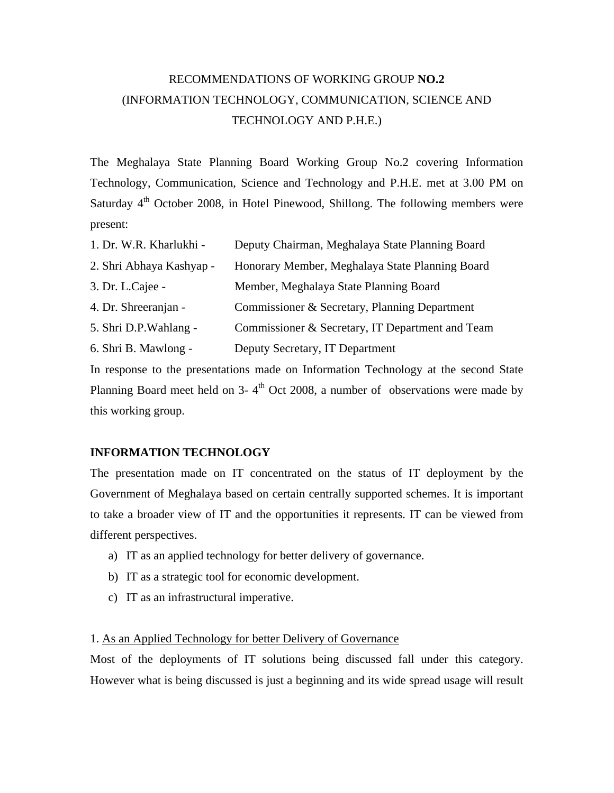# RECOMMENDATIONS OF WORKING GROUP **NO.2** (INFORMATION TECHNOLOGY, COMMUNICATION, SCIENCE AND TECHNOLOGY AND P.H.E.)

The Meghalaya State Planning Board Working Group No.2 covering Information Technology, Communication, Science and Technology and P.H.E. met at 3.00 PM on Saturday  $4<sup>th</sup>$  October 2008, in Hotel Pinewood, Shillong. The following members were present:

| 1. Dr. W.R. Kharlukhi -  | Deputy Chairman, Meghalaya State Planning Board                                                                                                                                                                                                                                                             |
|--------------------------|-------------------------------------------------------------------------------------------------------------------------------------------------------------------------------------------------------------------------------------------------------------------------------------------------------------|
| 2. Shri Abhaya Kashyap - | Honorary Member, Meghalaya State Planning Board                                                                                                                                                                                                                                                             |
| 3. Dr. L.Cajee -         | Member, Meghalaya State Planning Board                                                                                                                                                                                                                                                                      |
| 4. Dr. Shreeranjan -     | Commissioner & Secretary, Planning Department                                                                                                                                                                                                                                                               |
| 5. Shri D.P. Wahlang -   | Commissioner & Secretary, IT Department and Team                                                                                                                                                                                                                                                            |
| 6. Shri B. Mawlong -     | Deputy Secretary, IT Department                                                                                                                                                                                                                                                                             |
|                          | $\mathbf{1}$ , $\mathbf{1}$ , $\mathbf{1}$ , $\mathbf{1}$ , $\mathbf{1}$ , $\mathbf{1}$ , $\mathbf{1}$ , $\mathbf{1}$ , $\mathbf{1}$ , $\mathbf{1}$ , $\mathbf{1}$ , $\mathbf{1}$ , $\mathbf{1}$ , $\mathbf{1}$ , $\mathbf{1}$ , $\mathbf{1}$ , $\mathbf{1}$ , $\mathbf{1}$ , $\mathbf{1}$ , $\mathbf{1}$ , |

In response to the presentations made on Information Technology at the second State Planning Board meet held on  $3-4<sup>th</sup>$  Oct 2008, a number of observations were made by this working group.

## **INFORMATION TECHNOLOGY**

The presentation made on IT concentrated on the status of IT deployment by the Government of Meghalaya based on certain centrally supported schemes. It is important to take a broader view of IT and the opportunities it represents. IT can be viewed from different perspectives.

- a) IT as an applied technology for better delivery of governance.
- b) IT as a strategic tool for economic development.
- c) IT as an infrastructural imperative.

## 1. As an Applied Technology for better Delivery of Governance

Most of the deployments of IT solutions being discussed fall under this category. However what is being discussed is just a beginning and its wide spread usage will result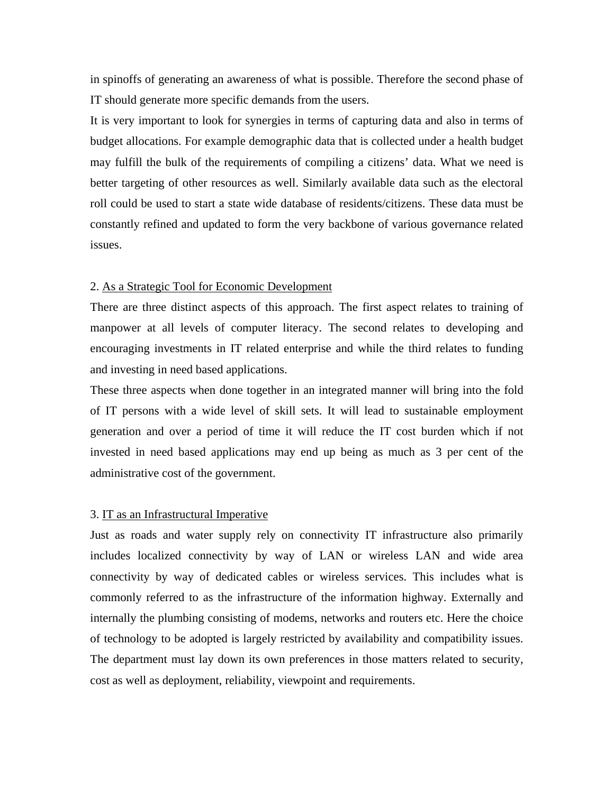in spinoffs of generating an awareness of what is possible. Therefore the second phase of IT should generate more specific demands from the users.

It is very important to look for synergies in terms of capturing data and also in terms of budget allocations. For example demographic data that is collected under a health budget may fulfill the bulk of the requirements of compiling a citizens' data. What we need is better targeting of other resources as well. Similarly available data such as the electoral roll could be used to start a state wide database of residents/citizens. These data must be constantly refined and updated to form the very backbone of various governance related issues.

#### 2. As a Strategic Tool for Economic Development

There are three distinct aspects of this approach. The first aspect relates to training of manpower at all levels of computer literacy. The second relates to developing and encouraging investments in IT related enterprise and while the third relates to funding and investing in need based applications.

These three aspects when done together in an integrated manner will bring into the fold of IT persons with a wide level of skill sets. It will lead to sustainable employment generation and over a period of time it will reduce the IT cost burden which if not invested in need based applications may end up being as much as 3 per cent of the administrative cost of the government.

#### 3. IT as an Infrastructural Imperative

Just as roads and water supply rely on connectivity IT infrastructure also primarily includes localized connectivity by way of LAN or wireless LAN and wide area connectivity by way of dedicated cables or wireless services. This includes what is commonly referred to as the infrastructure of the information highway. Externally and internally the plumbing consisting of modems, networks and routers etc. Here the choice of technology to be adopted is largely restricted by availability and compatibility issues. The department must lay down its own preferences in those matters related to security, cost as well as deployment, reliability, viewpoint and requirements.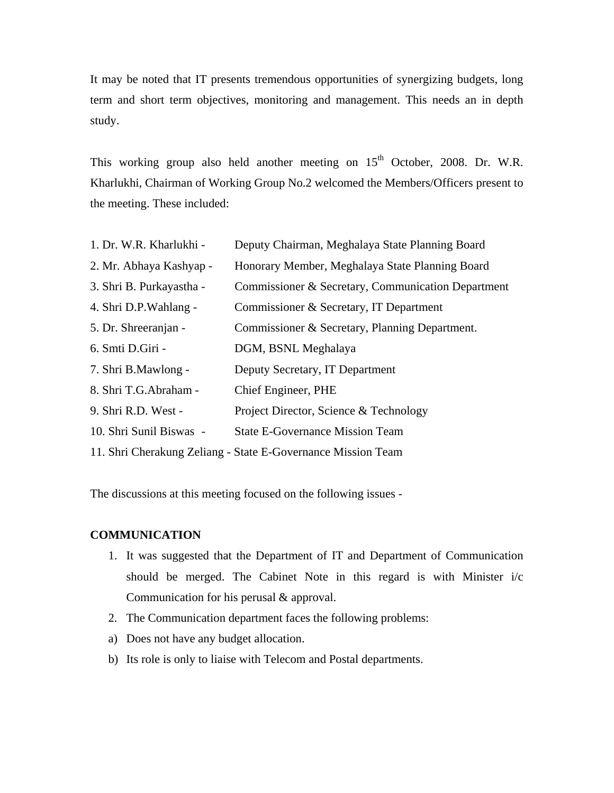It may be noted that IT presents tremendous opportunities of synergizing budgets, long term and short term objectives, monitoring and management. This needs an in depth study.

This working group also held another meeting on 15<sup>th</sup> October, 2008. Dr. W.R. Kharlukhi, Chairman of Working Group No.2 welcomed the Members/Officers present to the meeting. These included:

| 1. Dr. W.R. Kharlukhi -  | Deputy Chairman, Meghalaya State Planning Board              |
|--------------------------|--------------------------------------------------------------|
| 2. Mr. Abhaya Kashyap -  | Honorary Member, Meghalaya State Planning Board              |
| 3. Shri B. Purkayastha - | Commissioner & Secretary, Communication Department           |
| 4. Shri D.P.Wahlang -    | Commissioner & Secretary, IT Department                      |
| 5. Dr. Shreeranjan -     | Commissioner & Secretary, Planning Department.               |
| 6. Smti D.Giri -         | DGM, BSNL Meghalaya                                          |
| 7. Shri B.Mawlong -      | Deputy Secretary, IT Department                              |
| 8. Shri T.G.Abraham -    | Chief Engineer, PHE                                          |
| 9. Shri R.D. West -      | Project Director, Science & Technology                       |
| 10. Shri Sunil Biswas -  | <b>State E-Governance Mission Team</b>                       |
|                          | 11. Shri Cherakung Zeliang - State E-Governance Mission Team |

The discussions at this meeting focused on the following issues -

### **COMMUNICATION**

- 1. It was suggested that the Department of IT and Department of Communication should be merged. The Cabinet Note in this regard is with Minister i/c Communication for his perusal & approval.
- 2. The Communication department faces the following problems:
- a) Does not have any budget allocation.
- b) Its role is only to liaise with Telecom and Postal departments.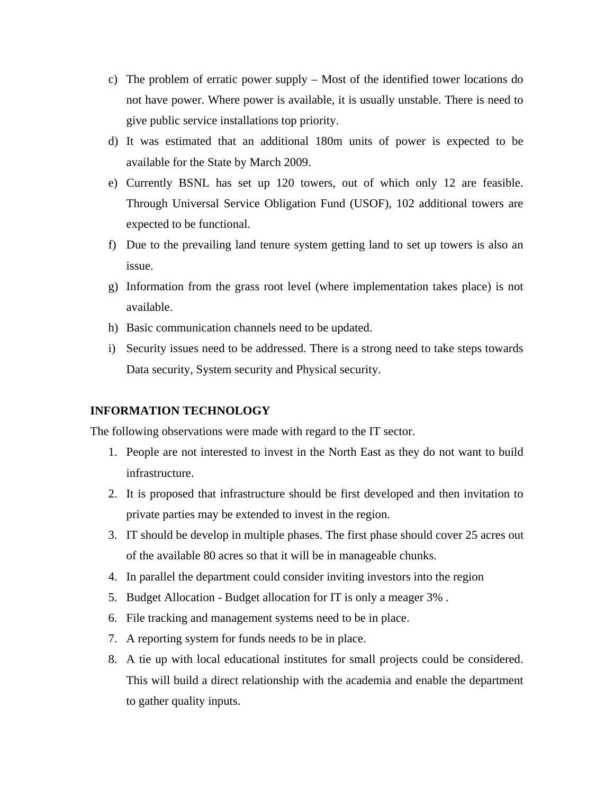- c) The problem of erratic power supply Most of the identified tower locations do not have power. Where power is available, it is usually unstable. There is need to give public service installations top priority.
- d) It was estimated that an additional 180m units of power is expected to be available for the State by March 2009.
- e) Currently BSNL has set up 120 towers, out of which only 12 are feasible. Through Universal Service Obligation Fund (USOF), 102 additional towers are expected to be functional.
- f) Due to the prevailing land tenure system getting land to set up towers is also an issue.
- g) Information from the grass root level (where implementation takes place) is not available.
- h) Basic communication channels need to be updated.
- i) Security issues need to be addressed. There is a strong need to take steps towards Data security, System security and Physical security.

## **INFORMATION TECHNOLOGY**

The following observations were made with regard to the IT sector.

- 1. People are not interested to invest in the North East as they do not want to build infrastructure.
- 2. It is proposed that infrastructure should be first developed and then invitation to private parties may be extended to invest in the region.
- 3. IT should be develop in multiple phases. The first phase should cover 25 acres out of the available 80 acres so that it will be in manageable chunks.
- 4. In parallel the department could consider inviting investors into the region
- 5. Budget Allocation Budget allocation for IT is only a meager 3% .
- 6. File tracking and management systems need to be in place.
- 7. A reporting system for funds needs to be in place.
- 8. A tie up with local educational institutes for small projects could be considered. This will build a direct relationship with the academia and enable the department to gather quality inputs.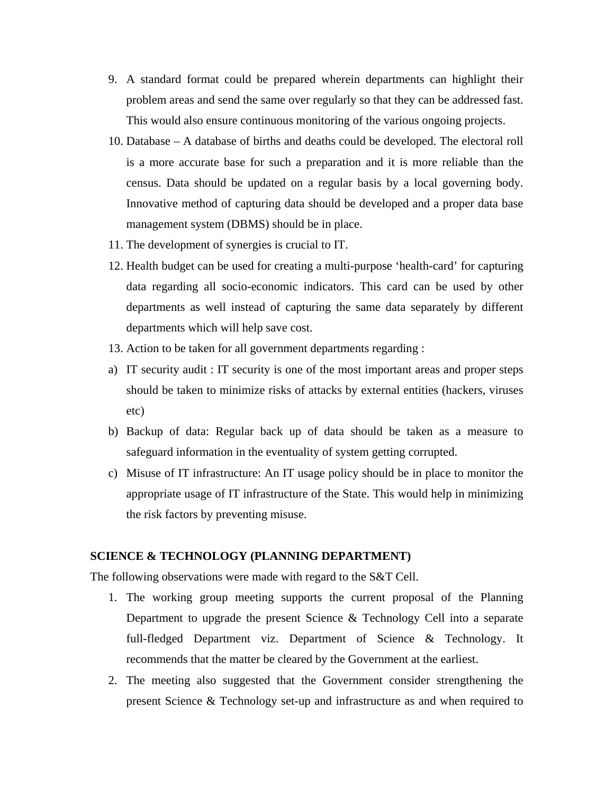- 9. A standard format could be prepared wherein departments can highlight their problem areas and send the same over regularly so that they can be addressed fast. This would also ensure continuous monitoring of the various ongoing projects.
- 10. Database A database of births and deaths could be developed. The electoral roll is a more accurate base for such a preparation and it is more reliable than the census. Data should be updated on a regular basis by a local governing body. Innovative method of capturing data should be developed and a proper data base management system (DBMS) should be in place.
- 11. The development of synergies is crucial to IT.
- 12. Health budget can be used for creating a multi-purpose 'health-card' for capturing data regarding all socio-economic indicators. This card can be used by other departments as well instead of capturing the same data separately by different departments which will help save cost.
- 13. Action to be taken for all government departments regarding :
- a) IT security audit : IT security is one of the most important areas and proper steps should be taken to minimize risks of attacks by external entities (hackers, viruses etc)
- b) Backup of data: Regular back up of data should be taken as a measure to safeguard information in the eventuality of system getting corrupted.
- c) Misuse of IT infrastructure: An IT usage policy should be in place to monitor the appropriate usage of IT infrastructure of the State. This would help in minimizing the risk factors by preventing misuse.

## **SCIENCE & TECHNOLOGY (PLANNING DEPARTMENT)**

The following observations were made with regard to the S&T Cell.

- 1. The working group meeting supports the current proposal of the Planning Department to upgrade the present Science & Technology Cell into a separate full-fledged Department viz. Department of Science & Technology. It recommends that the matter be cleared by the Government at the earliest.
- 2. The meeting also suggested that the Government consider strengthening the present Science & Technology set-up and infrastructure as and when required to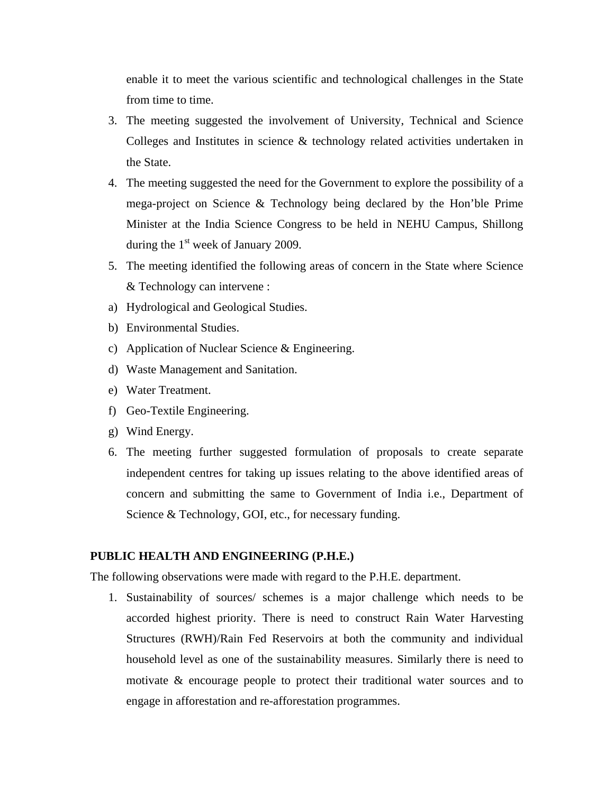enable it to meet the various scientific and technological challenges in the State from time to time.

- 3. The meeting suggested the involvement of University, Technical and Science Colleges and Institutes in science & technology related activities undertaken in the State.
- 4. The meeting suggested the need for the Government to explore the possibility of a mega-project on Science & Technology being declared by the Hon'ble Prime Minister at the India Science Congress to be held in NEHU Campus, Shillong during the  $1<sup>st</sup>$  week of January 2009.
- 5. The meeting identified the following areas of concern in the State where Science & Technology can intervene :
- a) Hydrological and Geological Studies.
- b) Environmental Studies.
- c) Application of Nuclear Science & Engineering.
- d) Waste Management and Sanitation.
- e) Water Treatment.
- f) Geo-Textile Engineering.
- g) Wind Energy.
- 6. The meeting further suggested formulation of proposals to create separate independent centres for taking up issues relating to the above identified areas of concern and submitting the same to Government of India i.e., Department of Science & Technology, GOI, etc., for necessary funding.

## **PUBLIC HEALTH AND ENGINEERING (P.H.E.)**

The following observations were made with regard to the P.H.E. department.

1. Sustainability of sources/ schemes is a major challenge which needs to be accorded highest priority. There is need to construct Rain Water Harvesting Structures (RWH)/Rain Fed Reservoirs at both the community and individual household level as one of the sustainability measures. Similarly there is need to motivate & encourage people to protect their traditional water sources and to engage in afforestation and re-afforestation programmes.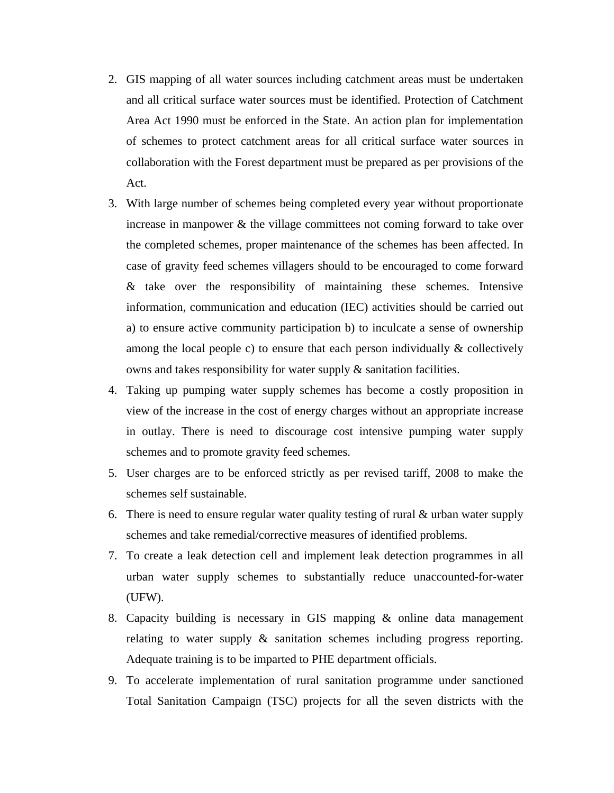- 2. GIS mapping of all water sources including catchment areas must be undertaken and all critical surface water sources must be identified. Protection of Catchment Area Act 1990 must be enforced in the State. An action plan for implementation of schemes to protect catchment areas for all critical surface water sources in collaboration with the Forest department must be prepared as per provisions of the Act.
- 3. With large number of schemes being completed every year without proportionate increase in manpower & the village committees not coming forward to take over the completed schemes, proper maintenance of the schemes has been affected. In case of gravity feed schemes villagers should to be encouraged to come forward & take over the responsibility of maintaining these schemes. Intensive information, communication and education (IEC) activities should be carried out a) to ensure active community participation b) to inculcate a sense of ownership among the local people c) to ensure that each person individually  $\&$  collectively owns and takes responsibility for water supply & sanitation facilities.
- 4. Taking up pumping water supply schemes has become a costly proposition in view of the increase in the cost of energy charges without an appropriate increase in outlay. There is need to discourage cost intensive pumping water supply schemes and to promote gravity feed schemes.
- 5. User charges are to be enforced strictly as per revised tariff, 2008 to make the schemes self sustainable.
- 6. There is need to ensure regular water quality testing of rural & urban water supply schemes and take remedial/corrective measures of identified problems.
- 7. To create a leak detection cell and implement leak detection programmes in all urban water supply schemes to substantially reduce unaccounted-for-water (UFW).
- 8. Capacity building is necessary in GIS mapping & online data management relating to water supply & sanitation schemes including progress reporting. Adequate training is to be imparted to PHE department officials.
- 9. To accelerate implementation of rural sanitation programme under sanctioned Total Sanitation Campaign (TSC) projects for all the seven districts with the